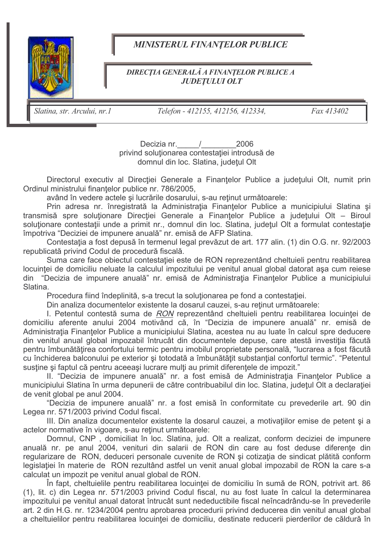

## **MINISTERUL FINANTELOR PUBLICE**

## **DIRECȚIA GENERALĂ A FINANȚELOR PUBLICE A JUDETULUI OLT**

Slatina, str. Arcului, nr.1

Telefon - 412155, 412156, 412334,

Fax 413402

Decizia nr. / 2006 privind soluționarea contestației introdusă de domnul din loc. Slatina, județul Olt

Directorul executiv al Directiei Generale a Finantelor Publice a judetului Olt, numit prin Ordinul ministrului finantelor publice nr. 786/2005,

având în vedere actele și lucrările dosarului, s-au retinut următoarele:

Prin adresa nr. înregistrată la Administrația Finanțelor Publice a municipiului Slatina și transmisă spre soluționare Direcției Generale a Finanțelor Publice a județului Olt - Biroul soluționare contestații unde a primit nr., domnul din loc. Slatina, județul Olt a formulat contestație împotriva "Deciziei de impunere anuală" nr. emisă de AFP Slatina.

Contestatia a fost depusă în termenul legal prevăzut de art. 177 alin. (1) din O.G. nr. 92/2003 republicată privind Codul de procedură fiscală.

Suma care face obiectul contestatiei este de RON reprezentând cheltuieli pentru reabilitarea locuinței de domiciliu neluate la calculul impozitului pe venitul anual global datorat așa cum reiese din "Decizia de impunere anuală" nr. emisă de Administrația Finanțelor Publice a municipiului Slatina

Procedura fiind îndeplinită, s-a trecut la soluționarea pe fond a contestației.

Din analiza documentelor existente la dosarul cauzei, s-au reținut următoarele:

I. Petentul contestă suma de RON reprezentând cheltuieli pentru reabilitarea locuintei de domiciliu aferente anului 2004 motivând că, în "Decizia de impunere anuală" nr. emisă de Administrația Finanțelor Publice a municipiului Slatina, acestea nu au luate în calcul spre deducere din venitul anual global impozabil întrucât din documentele depuse, care atestă investiția făcută pentru îmbunătățirea confortului termic pentru imobilul proprietate personală, "lucrarea a fost făcută cu închiderea balconului pe exterior și totodată a îmbunătățit substanțial confortul termic". "Petentul sustine și faptul că pentru aceeași lucrare mulți au primit diferențele de impozit."

II. "Decizia de impunere anuală" nr. a fost emisă de Administratia Finantelor Publice a municipiului Slatina în urma depunerii de către contribuabilul din loc. Slatina, județul Olt a declarației de venit global pe anul 2004.

"Decizia de impunere anuală" nr. a fost emisă în conformitate cu prevederile art. 90 din Legea nr. 571/2003 privind Codul fiscal.

III. Din analiza documentelor existente la dosarul cauzei, a motivatiilor emise de petent si a actelor normative în vigoare, s-au reținut următoarele:

Domnul, CNP, domiciliat în loc. Slatina, jud. Olt a realizat, conform deciziei de impunere anuală nr. pe anul 2004, venituri din salarii de RON din care au fost deduse diferente din regularizare de RON, deduceri personale cuvenite de RON și cotizația de sindicat plătită conform legislației în materie de RON rezultând astfel un venit anual global impozabil de RON la care s-a calculat un impozit pe venitul anual global de RON.

În fapt, cheltuielile pentru reabilitarea locuinței de domiciliu în sumă de RON, potrivit art. 86 (1), lit. c) din Legea nr. 571/2003 privind Codul fiscal, nu au fost luate în calcul la determinarea impozitului pe venitul anual datorat întrucât sunt nedeductibile fiscal neîncadrându-se în prevederile art. 2 din H.G. nr. 1234/2004 pentru aprobarea procedurii privind deducerea din venitul anual global a cheltuielilor pentru reabilitarea locuintei de domiciliu, destinate reducerii pierderilor de căldură în